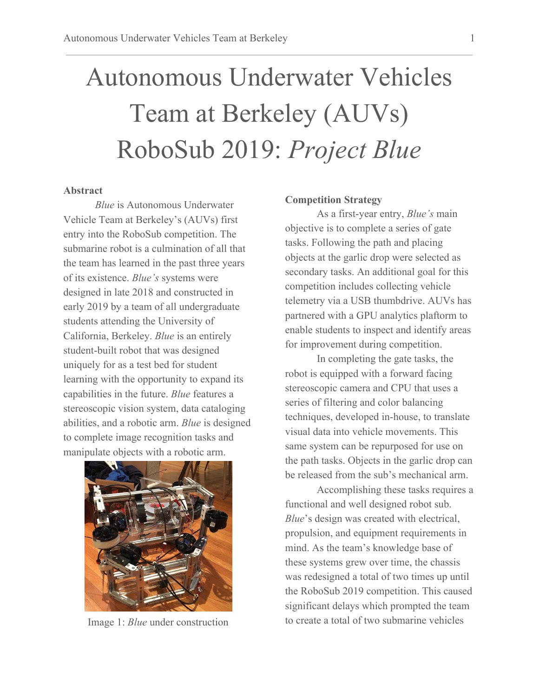# Autonomous Underwater Vehicles Team at Berkeley (AUVs) RoboSub 2019: *Project Blue*

#### **Abstract**

*Blue* is Autonomous Underwater Vehicle Team at Berkeley's (AUVs) first entry into the RoboSub competition. The submarine robot is a culmination of all that the team has learned in the past three years of its existence. *Blue's* systems were designed in late 2018 and constructed in early 2019 by a team of all undergraduate students attending the University of California, Berkeley. *Blue* is an entirely student-built robot that was designed uniquely for as a test bed for student learning with the opportunity to expand its capabilities in the future. *Blue* features a stereoscopic vision system, data cataloging abilities, and a robotic arm. *Blue* is designed to complete image recognition tasks and manipulate objects with a robotic arm.



Image 1: *Blue* under construction

#### **Competition Strategy**

As a first-year entry, *Blue's* main objective is to complete a series of gate tasks. Following the path and placing objects at the garlic drop were selected as secondary tasks. An additional goal for this competition includes collecting vehicle telemetry via a USB thumbdrive. AUVs has partnered with a GPU analytics plaftorm to enable students to inspect and identify areas for improvement during competition.

In completing the gate tasks, the robot is equipped with a forward facing stereoscopic camera and CPU that uses a series of filtering and color balancing techniques, developed in-house, to translate visual data into vehicle movements. This same system can be repurposed for use on the path tasks. Objects in the garlic drop can be released from the sub's mechanical arm.

Accomplishing these tasks requires a functional and well designed robot sub. *Blue*'s design was created with electrical, propulsion, and equipment requirements in mind. As the team's knowledge base of these systems grew over time, the chassis was redesigned a total of two times up until the RoboSub 2019 competition. This caused significant delays which prompted the team to create a total of two submarine vehicles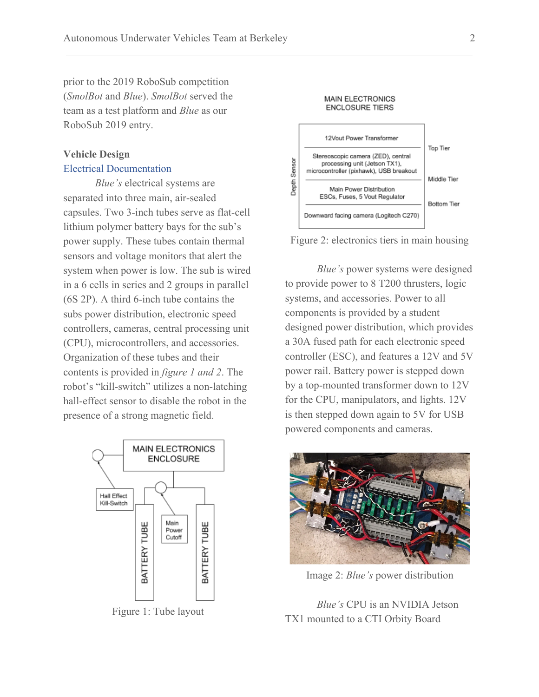prior to the 2019 RoboSub competition (*SmolBot* and *Blue*). *SmolBot* served the team as a test platform and *Blue* as our RoboSub 2019 entry.

### **Vehicle Design**

#### Electrical Documentation

*Blue's* electrical systems are separated into three main, air-sealed capsules. Two 3-inch tubes serve as flat-cell lithium polymer battery bays for the sub's power supply. These tubes contain thermal sensors and voltage monitors that alert the system when power is low. The sub is wired in a 6 cells in series and 2 groups in parallel (6S 2P). A third 6-inch tube contains the subs power distribution, electronic speed controllers, cameras, central processing unit (CPU), microcontrollers, and accessories. Organization of these tubes and their contents is provided in *figure 1 and 2*. The robot's "kill-switch" utilizes a non-latching hall-effect sensor to disable the robot in the presence of a strong magnetic field.



Figure 1: Tube layout



**MAIN ELECTRONICS** 



*Blue's* power systems were designed to provide power to 8 T200 thrusters, logic systems, and accessories. Power to all components is provided by a student designed power distribution, which provides a 30A fused path for each electronic speed controller (ESC), and features a 12V and 5V power rail. Battery power is stepped down by a top-mounted transformer down to 12V for the CPU, manipulators, and lights. 12V is then stepped down again to 5V for USB powered components and cameras.



Image 2: *Blue's* power distribution

*Blue's* CPU is an NVIDIA Jetson TX1 mounted to a CTI Orbity Board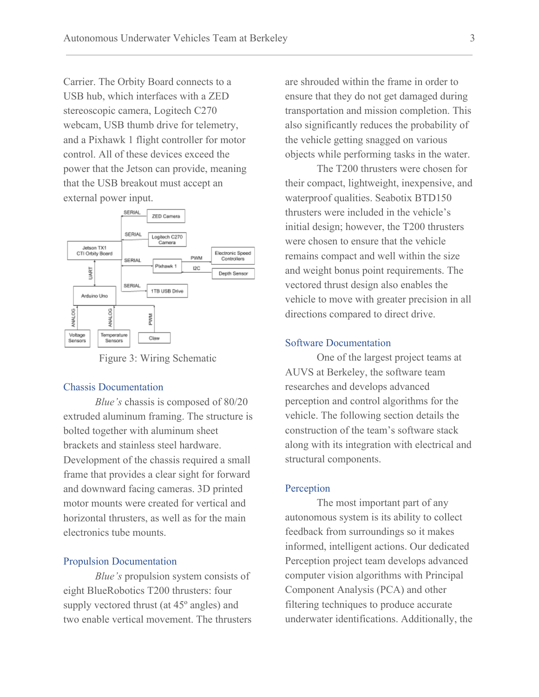Carrier. The Orbity Board connects to a USB hub, which interfaces with a ZED stereoscopic camera, Logitech C270 webcam, USB thumb drive for telemetry, and a Pixhawk 1 flight controller for motor control. All of these devices exceed the power that the Jetson can provide, meaning that the USB breakout must accept an external power input.



Figure 3: Wiring Schematic

#### Chassis Documentation

*Blue's* chassis is composed of 80/20 extruded aluminum framing. The structure is bolted together with aluminum sheet brackets and stainless steel hardware. Development of the chassis required a small frame that provides a clear sight for forward and downward facing cameras. 3D printed motor mounts were created for vertical and horizontal thrusters, as well as for the main electronics tube mounts.

#### Propulsion Documentation

*Blue's* propulsion system consists of eight BlueRobotics T200 thrusters: four supply vectored thrust (at 45º angles) and two enable vertical movement. The thrusters are shrouded within the frame in order to ensure that they do not get damaged during transportation and mission completion. This also significantly reduces the probability of the vehicle getting snagged on various objects while performing tasks in the water.

The T200 thrusters were chosen for their compact, lightweight, inexpensive, and waterproof qualities. Seabotix BTD150 thrusters were included in the vehicle's initial design; however, the T200 thrusters were chosen to ensure that the vehicle remains compact and well within the size and weight bonus point requirements. The vectored thrust design also enables the vehicle to move with greater precision in all directions compared to direct drive.

#### Software Documentation

One of the largest project teams at AUVS at Berkeley, the software team researches and develops advanced perception and control algorithms for the vehicle. The following section details the construction of the team's software stack along with its integration with electrical and structural components.

#### Perception

The most important part of any autonomous system is its ability to collect feedback from surroundings so it makes informed, intelligent actions. Our dedicated Perception project team develops advanced computer vision algorithms with Principal Component Analysis (PCA) and other filtering techniques to produce accurate underwater identifications. Additionally, the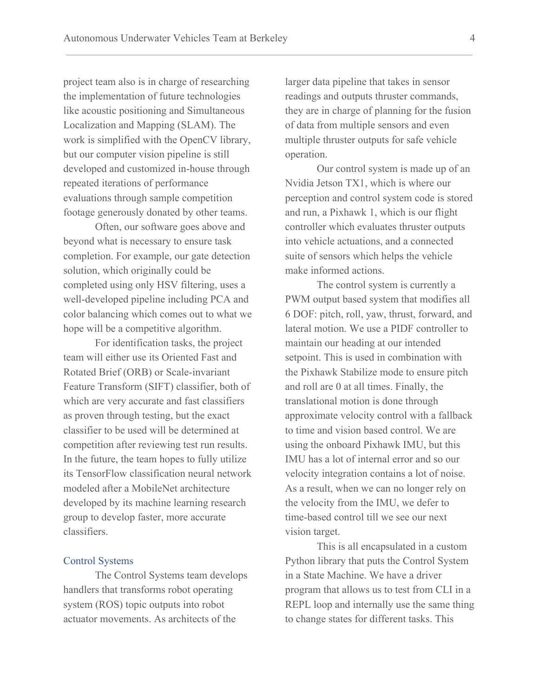project team also is in charge of researching the implementation of future technologies like acoustic positioning and Simultaneous Localization and Mapping (SLAM). The work is simplified with the OpenCV library, but our computer vision pipeline is still developed and customized in-house through repeated iterations of performance evaluations through sample competition footage generously donated by other teams.

Often, our software goes above and beyond what is necessary to ensure task completion. For example, our gate detection solution, which originally could be completed using only HSV filtering, uses a well-developed pipeline including PCA and color balancing which comes out to what we hope will be a competitive algorithm.

For identification tasks, the project team will either use its Oriented Fast and Rotated Brief (ORB) or Scale-invariant Feature Transform (SIFT) classifier, both of which are very accurate and fast classifiers as proven through testing, but the exact classifier to be used will be determined at competition after reviewing test run results. In the future, the team hopes to fully utilize its TensorFlow classification neural network modeled after a MobileNet architecture developed by its machine learning research group to develop faster, more accurate classifiers.

#### Control Systems

The Control Systems team develops handlers that transforms robot operating system (ROS) topic outputs into robot actuator movements. As architects of the

larger data pipeline that takes in sensor readings and outputs thruster commands, they are in charge of planning for the fusion of data from multiple sensors and even multiple thruster outputs for safe vehicle operation.

Our control system is made up of an Nvidia Jetson TX1, which is where our perception and control system code is stored and run, a Pixhawk 1, which is our flight controller which evaluates thruster outputs into vehicle actuations, and a connected suite of sensors which helps the vehicle make informed actions.

The control system is currently a PWM output based system that modifies all 6 DOF: pitch, roll, yaw, thrust, forward, and lateral motion. We use a PIDF controller to maintain our heading at our intended setpoint. This is used in combination with the Pixhawk Stabilize mode to ensure pitch and roll are 0 at all times. Finally, the translational motion is done through approximate velocity control with a fallback to time and vision based control. We are using the onboard Pixhawk IMU, but this IMU has a lot of internal error and so our velocity integration contains a lot of noise. As a result, when we can no longer rely on the velocity from the IMU, we defer to time-based control till we see our next vision target.

This is all encapsulated in a custom Python library that puts the Control System in a State Machine. We have a driver program that allows us to test from CLI in a REPL loop and internally use the same thing to change states for different tasks. This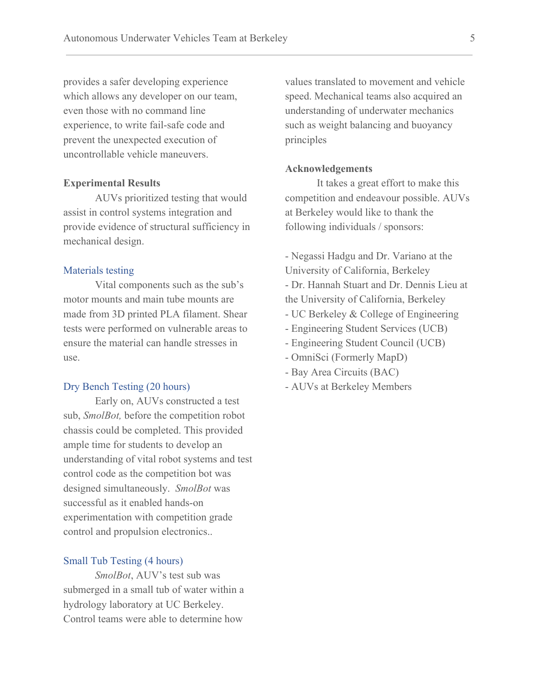provides a safer developing experience which allows any developer on our team, even those with no command line experience, to write fail-safe code and prevent the unexpected execution of uncontrollable vehicle maneuvers.

#### **Experimental Results**

AUVs prioritized testing that would assist in control systems integration and provide evidence of structural sufficiency in mechanical design.

#### Materials testing

Vital components such as the sub's motor mounts and main tube mounts are made from 3D printed PLA filament. Shear tests were performed on vulnerable areas to ensure the material can handle stresses in use.

#### Dry Bench Testing (20 hours)

Early on, AUVs constructed a test sub, *SmolBot,* before the competition robot chassis could be completed. This provided ample time for students to develop an understanding of vital robot systems and test control code as the competition bot was designed simultaneously. *SmolBot* was successful as it enabled hands-on experimentation with competition grade control and propulsion electronics..

#### Small Tub Testing (4 hours)

*SmolBot*, AUV's test sub was submerged in a small tub of water within a hydrology laboratory at UC Berkeley. Control teams were able to determine how

values translated to movement and vehicle speed. Mechanical teams also acquired an understanding of underwater mechanics such as weight balancing and buoyancy principles

#### **Acknowledgements**

It takes a great effort to make this competition and endeavour possible. AUVs at Berkeley would like to thank the following individuals / sponsors:

- Negassi Hadgu and Dr. Variano at the University of California, Berkeley

- Dr. Hannah Stuart and Dr. Dennis Lieu at the University of California, Berkeley

- UC Berkeley & College of Engineering
- Engineering Student Services (UCB)
- Engineering Student Council (UCB)
- OmniSci (Formerly MapD)
- Bay Area Circuits (BAC)
- AUVs at Berkeley Members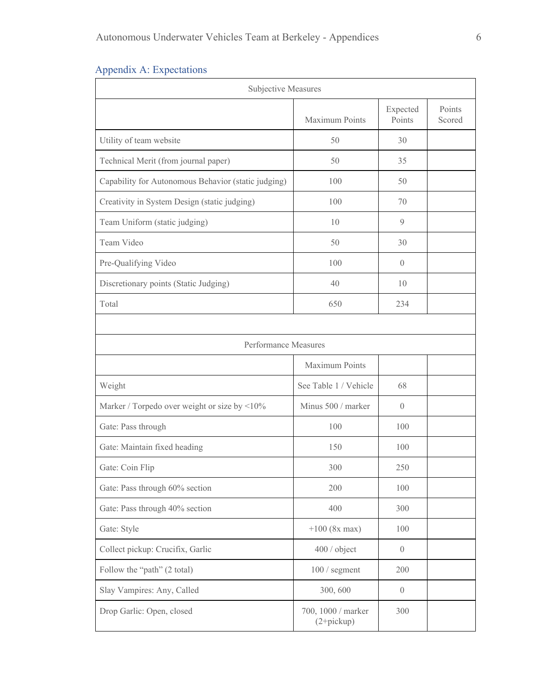## Appendix A: Expectations

| Subjective Measures                                 |                                    |                    |                  |  |  |
|-----------------------------------------------------|------------------------------------|--------------------|------------------|--|--|
|                                                     | Maximum Points                     | Expected<br>Points | Points<br>Scored |  |  |
| Utility of team website                             | 50                                 | 30                 |                  |  |  |
| Technical Merit (from journal paper)                | 50                                 | 35                 |                  |  |  |
| Capability for Autonomous Behavior (static judging) | 100                                | 50                 |                  |  |  |
| Creativity in System Design (static judging)        | 100                                | 70                 |                  |  |  |
| Team Uniform (static judging)                       | 10                                 | 9                  |                  |  |  |
| Team Video                                          | 50                                 | 30                 |                  |  |  |
| Pre-Qualifying Video                                | 100                                | $\left( \right)$   |                  |  |  |
| Discretionary points (Static Judging)               | 40                                 | 10                 |                  |  |  |
| Total                                               | 650                                | 234                |                  |  |  |
|                                                     |                                    |                    |                  |  |  |
| Performance Measures                                |                                    |                    |                  |  |  |
|                                                     | Maximum Points                     |                    |                  |  |  |
| Weight                                              | See Table 1 / Vehicle              | 68                 |                  |  |  |
| Marker / Torpedo over weight or size by <10%        | Minus 500 / marker                 | $\overline{0}$     |                  |  |  |
| Gate: Pass through                                  | 100                                | 100                |                  |  |  |
| Gate: Maintain fixed heading                        | 150                                | 100                |                  |  |  |
| Gate: Coin Flip                                     | 300                                | 250                |                  |  |  |
| Gate: Pass through 60% section                      | 200                                | 100                |                  |  |  |
| Gate: Pass through 40% section                      | 400                                | 300                |                  |  |  |
| Gate: Style                                         | $+100$ (8x max)                    | 100                |                  |  |  |
| Collect pickup: Crucifix, Garlic                    | 400 / object                       | $\overline{0}$     |                  |  |  |
| Follow the "path" (2 total)                         | 100 / segment                      | 200                |                  |  |  |
| Slay Vampires: Any, Called                          | 300, 600                           | $\overline{0}$     |                  |  |  |
| Drop Garlic: Open, closed                           | 700, 1000 / marker<br>$(2+pickup)$ | 300                |                  |  |  |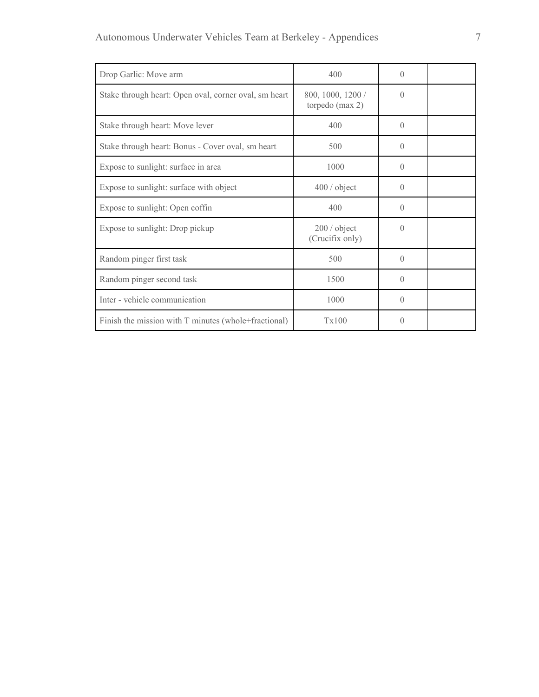| Drop Garlic: Move arm                                 | 400                                  | $\Omega$         |  |
|-------------------------------------------------------|--------------------------------------|------------------|--|
| Stake through heart: Open oval, corner oval, sm heart | 800, 1000, 1200 /<br>torpedo (max 2) | $\left($         |  |
| Stake through heart: Move lever                       | 400                                  | $\left( \right)$ |  |
| Stake through heart: Bonus - Cover oval, sm heart     | 500                                  | $\left( \right)$ |  |
| Expose to sunlight: surface in area                   | 1000                                 | $\Omega$         |  |
| Expose to sunlight: surface with object               | 400 / object                         | $\theta$         |  |
| Expose to sunlight: Open coffin                       | 400                                  | $\left( \right)$ |  |
| Expose to sunlight: Drop pickup                       | 200 / object<br>(Crucifix only)      | $\left( \right)$ |  |
| Random pinger first task                              | 500                                  | $\Omega$         |  |
| Random pinger second task                             | 1500                                 | $\Omega$         |  |
| Inter - vehicle communication                         | 1000                                 | $\Omega$         |  |
| Finish the mission with T minutes (whole+fractional)  | Tx100                                | $\left( \right)$ |  |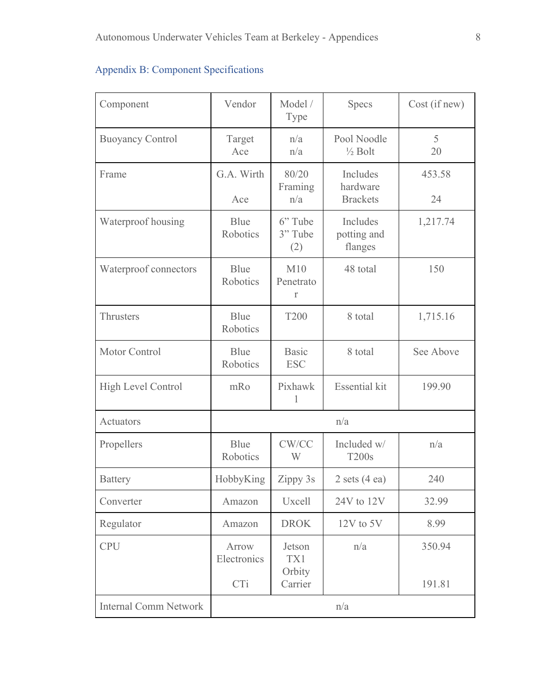| Component                    | Vendor                      | Model /<br>Type                    | <b>Specs</b>                            | Cost (if new)    |
|------------------------------|-----------------------------|------------------------------------|-----------------------------------------|------------------|
| <b>Buoyancy Control</b>      | Target<br>Ace               | n/a<br>n/a                         | Pool Noodle<br>$\frac{1}{2}$ Bolt       | 5<br>20          |
| Frame                        | G.A. Wirth<br>Ace           | 80/20<br>Framing<br>n/a            | Includes<br>hardware<br><b>Brackets</b> | 453.58<br>24     |
| Waterproof housing           | Blue<br>Robotics            | 6" Tube<br>3" Tube<br>(2)          | Includes<br>potting and<br>flanges      | 1,217.74         |
| Waterproof connectors        | Blue<br>Robotics            | M10<br>Penetrato<br>$\Gamma$       | 48 total                                | 150              |
| Thrusters                    | Blue<br>Robotics            | <b>T200</b>                        | 8 total                                 | 1,715.16         |
| Motor Control                | Blue<br>Robotics            | <b>Basic</b><br><b>ESC</b>         | 8 total                                 | See Above        |
| <b>High Level Control</b>    | mRo                         | Pixhawk<br>1                       | <b>Essential kit</b>                    | 199.90           |
| Actuators                    | n/a                         |                                    |                                         |                  |
| Propellers                   | Blue<br>Robotics            | CW/CC<br>W                         | Included w/<br><b>T200s</b>             | n/a              |
| <b>Battery</b>               | HobbyKing                   | Zippy 3s                           | 2 sets $(4 \text{ ea})$                 | 240              |
| Converter                    | Amazon                      | Uxcell                             | 24V to 12V                              | 32.99            |
| Regulator                    | Amazon                      | <b>DROK</b>                        | $12V$ to $5V$                           | 8.99             |
| <b>CPU</b>                   | Arrow<br>Electronics<br>CTi | Jetson<br>TX1<br>Orbity<br>Carrier | n/a                                     | 350.94<br>191.81 |
| <b>Internal Comm Network</b> |                             |                                    | n/a                                     |                  |
|                              |                             |                                    |                                         |                  |

## Appendix B: Component Specifications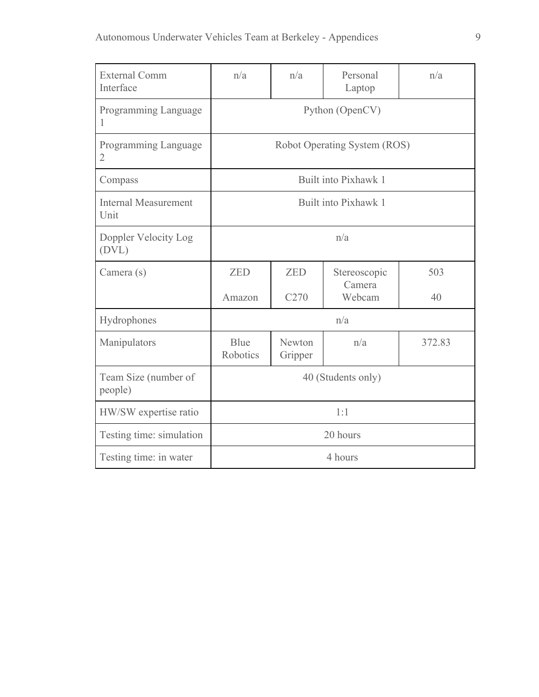| <b>External Comm</b><br>Interface   | n/a                          | n/a               | Personal<br>Laptop     | n/a    |
|-------------------------------------|------------------------------|-------------------|------------------------|--------|
| Programming Language<br>I           | Python (OpenCV)              |                   |                        |        |
| Programming Language<br>2           | Robot Operating System (ROS) |                   |                        |        |
| Compass                             | Built into Pixhawk 1         |                   |                        |        |
| <b>Internal Measurement</b><br>Unit | Built into Pixhawk 1         |                   |                        |        |
| Doppler Velocity Log<br>(DVL)       | n/a                          |                   |                        |        |
| Camera (s)                          | <b>ZED</b>                   | <b>ZED</b>        | Stereoscopic<br>Camera | 503    |
|                                     | Amazon                       | C <sub>270</sub>  | Webcam                 | 40     |
| Hydrophones                         | n/a                          |                   |                        |        |
| Manipulators                        | Blue<br>Robotics             | Newton<br>Gripper | n/a                    | 372.83 |
| Team Size (number of<br>people)     | 40 (Students only)           |                   |                        |        |
| HW/SW expertise ratio               | 1:1                          |                   |                        |        |
| Testing time: simulation            | 20 hours                     |                   |                        |        |
| Testing time: in water              | 4 hours                      |                   |                        |        |